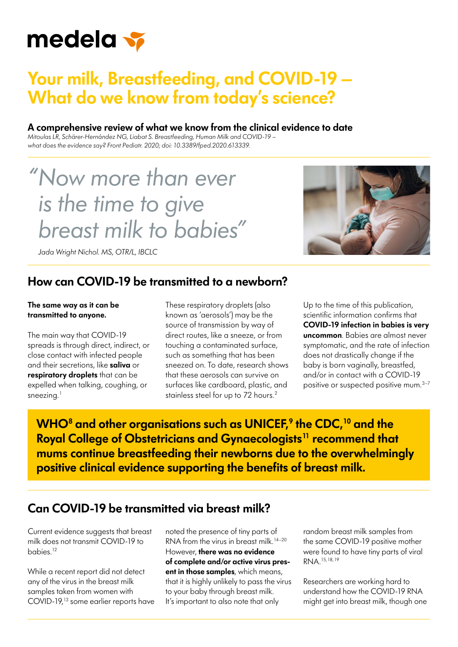

## **Your milk, Breastfeeding, and COVID-19 – What do we know from today's science?**

#### **A comprehensive review of what we know from the clinical evidence to date**

*Mitoulas LR, Schärer-Hernández NG, Liabat S. [Breastfeeding, Human Milk and COVID-19 –](https://www.frontiersin.org/articles/10.3389/fped.2020.613339/full)  [what does the evidence say?](https://www.frontiersin.org/articles/10.3389/fped.2020.613339/full) Front Pediatr. 2020; doi: 10.3389/fped.2020.613339.*

# *" Now more than ever is the time to give breast milk to babies"*

*Jada Wright Nichol. MS, OTR/L, IBCLC*

#### **How can COVID-19 be transmitted to a newborn?**

#### **The same way as it can be transmitted to anyone.**

The main way that COVID-19 spreads is through direct, indirect, or close contact with infected people and their secretions, like **saliva** or **respiratory droplets** that can be expelled when talking, coughing, or sneezing. $<sup>1</sup>$ </sup>

These respiratory droplets (also known as 'aerosols') may be the source of transmission by way of direct routes, like a sneeze, or from touching a contaminated surface, such as something that has been sneezed on. To date, research shows that these aerosols can survive on surfaces like cardboard, plastic, and stainless steel for up to 72 hours.<sup>2</sup>

Up to the time of this publication, scientific information confirms that **COVID-19 infection in babies is very uncommon**. Babies are almost never symptomatic, and the rate of infection does not drastically change if the baby is born vaginally, breastfed, and/or in contact with a COVID-19 positive or suspected positive mum.3–7

**WHO8 and other organisations such as UNICEF,9 the CDC,10 and the Royal College of Obstetricians and Gynaecologists<sup>11</sup> recommend that mums continue breastfeeding their newborns due to the overwhelmingly positive clinical evidence supporting the benefits of breast milk.**

### **Can COVID-19 be transmitted via breast milk?**

Current evidence suggests that breast milk does not transmit COVID-19 to babies.12

While a recent report did not detect any of the virus in the breast milk samples taken from women with COVID-19,13 some earlier reports have noted the presence of tiny parts of RNA from the virus in breast milk.<sup>14-20</sup> However, **there was no evidence of complete and/or active virus present in those samples**, which means, that it is highly unlikely to pass the virus to your baby through breast milk. It's important to also note that only

random breast milk samples from the same COVID-19 positive mother were found to have tiny parts of viral RNA.15,18,19

Researchers are working hard to understand how the COVID-19 RNA might get into breast milk, though one